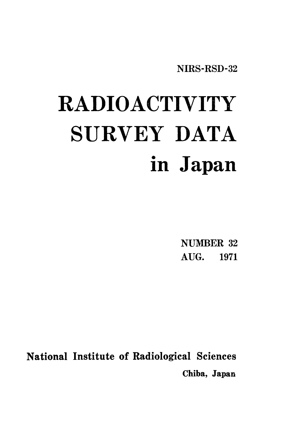NIRS-RSD-32

# RADIOACTIVITY SURVEY DATA in Japan

**NUMBER 32** AUG. 1971

**National Institute of Radiological Sciences** Chiba, Japan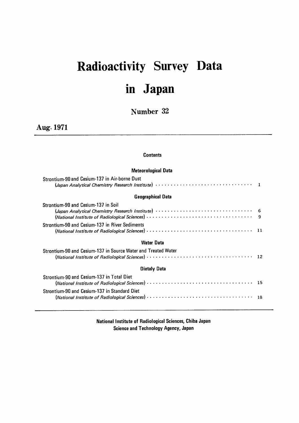## Radioactivity Survey D in Japan

Number 32

Aug・1971

#### **Contents**

#### Meteorological Data

| Strontium-90 and Cesium-137 in Air-borne Dust                 |                |
|---------------------------------------------------------------|----------------|
| <b>Geographical Data</b>                                      |                |
| Strontium-90 and Cesium-137 in Soil                           | $\overline{q}$ |
| Strontium-90 and Cesium-137 in River Sediments                |                |
| Water Data                                                    |                |
| Strontium-90 and Cesium-137 in Source Water and Treated Water |                |
| Dietaly Data                                                  |                |
| Strontium-90 and Cesium-137 in Total Diet                     |                |
| Strontium-90 and Cesium-137 in Standard Diet                  |                |

National Institute of Radiological Sciences, Chiba Japan Science and Technology Agency, Japan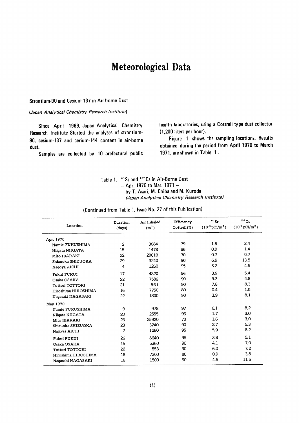## Meteorological Data

#### Strontium-90 and Cesium-137 in Air-borne Dust

#### (Japan Analytical Chemistry Research Institute)

Since April 1969, Japan Analytical Chemistry Research Institute Started the analyses of strontium-90, cesium-137 and cerium-144 content in air-borne dust.

Samples are collected by 10 prefectural public

health laboratories, using a Cottrell type dust collector (1,200 liters per hour).

Figure 1 shows the sampling locations. Results obtained during the period from April 1970 to March 1971, are shown in Table 1.

#### Table 1. <sup>90</sup> Sr and <sup>137</sup> Cs in Air-Borne Dust  $-$  Apr. 1970 to Mar. 1971  $$ by T. Asari, M. Chiba and M. Kuroda (Japan Analytical Chemistry Research Institute)

(Continued from Table 1, Issue No. 27 of this Publication)

| Location            | Duration<br>(days) | Air Inhaled<br>(m <sup>2</sup> ) | Efficiency<br>Cottrell(%) | $90$ Sr<br>$(10^{-3} \,\mathrm{pCi/m^3})$ | 137Cs<br>$(10^{-3} \,\text{pCi/m}^3)$ |
|---------------------|--------------------|----------------------------------|---------------------------|-------------------------------------------|---------------------------------------|
| Apr. 1970           |                    |                                  |                           |                                           |                                       |
| Namie FUKUSHIMA     | $\overline{2}$     | 3684                             | 79                        | 1.6                                       | 2.4                                   |
| Niigata NIIGATA     | 15                 | 1478                             | 96                        | 0.9                                       | 1.4                                   |
| Mito IBARAKI        | 22                 | 20610                            | 70                        | 0.7                                       | 0.7                                   |
| Shizuoka SHIZUOKA   | 29                 | 3240                             | 90                        | 6.9                                       | 13.5                                  |
| Nagoya AICHI        | 4                  | 1260                             | 95                        | 3.2                                       | 4.5                                   |
| Fukui FUKUI         | 17                 | 4320                             | 96                        | 3.9                                       | 5.4                                   |
| Osaka OSAKA         | 22                 | 7586                             | 90                        | 3.3                                       | 4.8                                   |
| Tottori TOTTORI     | 21                 | 561                              | 90                        | 7.8                                       | 8.3                                   |
| Hiroshima HIROSHIMA | 16                 | 7750                             | 80                        | 0.4                                       | 1.5                                   |
| Nagasaki NAGASAKI   | 22                 | 1800                             | 90                        | 3.9                                       | 8.1                                   |
| May 1970            |                    |                                  |                           |                                           |                                       |
| Namie FUKUSHIMA     | 9                  | 978                              | 97                        | 6.1                                       | 8.2                                   |
| Niigata NIIGATA     | 20                 | 2555                             | 96                        | 1.7                                       | 3.0                                   |
| Mito IBARAKI        | 23                 | 25920                            | 70                        | 1.6                                       | 3.0                                   |
| Shizuoka SHIZUOKA   | 23                 | 3240                             | 90                        | 27                                        | 5.3                                   |
| Nagoya AICHI        | 7                  | 1260                             | 95                        | 5.9                                       | 8.2                                   |
| Fukui FUKUI         | 26                 | 8640                             | 96                        | 3.8                                       | 5.1                                   |
| Osaka OSAKA         | 15                 | 5360                             | 90                        | 4.1                                       | 7.0                                   |
| Tottori TOTTORI     | 22                 | 553                              | 90                        | 6.0                                       | 7.2                                   |
| Hiroshima HIROSHIMA | 18                 | 7300                             | 80                        | 0.9                                       | 3.8                                   |
| Naqasaki NAGASAKI   | 16                 | 1500                             | 90                        | 4.6                                       | 11.5                                  |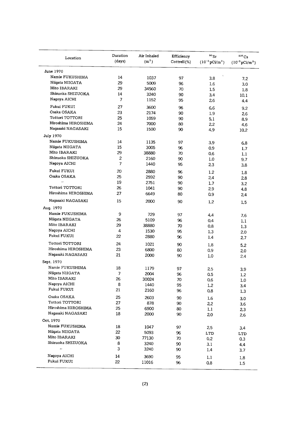| Location            | Duration<br>(days) | Air Inhaled<br>(m <sup>2</sup> ) | Efficiency<br>Cottrell (%) | $\rm ^{90}Sr$<br>$(10^{-3} \text{pCi/m}^3)$ | 137Cs<br>$(10^{-3} \,\mathrm{pCi/m^3})$ |
|---------------------|--------------------|----------------------------------|----------------------------|---------------------------------------------|-----------------------------------------|
| June 1970           |                    |                                  |                            |                                             |                                         |
| Namie FUKUSHIMA     | 14                 | 1037                             | 97                         | $\lambda$<br>3.8                            |                                         |
| Niigata NIIGATA     | 29                 | 5009                             | 96                         | 1.6                                         | 7.2                                     |
| Mito IBARAKI        | 29                 | 34560                            | 70                         | $1.5\,$                                     | 3.0                                     |
| Shizuoka SHIZUOKA   | 14                 | 3240                             | 90                         |                                             | 1.8                                     |
| Nagoya AICHI        | 7                  | 1152                             | 95                         | 3.4                                         | 10.1                                    |
|                     |                    |                                  |                            | 26                                          | 4.4                                     |
| Fukui FUKUI         | 27                 | 3600                             | 96                         | 6.6                                         | 9.2                                     |
| Osaka OSAKA         | 23                 | 2174                             | 90                         | 1.9                                         | 2.6                                     |
| Tottori TOTTORI     | 25                 | 1059                             | 90                         | 5.1                                         | 8.9                                     |
| Hiroshima HIROSHIMA | 24                 | 7000                             | 80                         | 22                                          | 4.6                                     |
| Nagasaki NAGASAKI   | 15                 | 1500                             | 90                         | 4.9                                         | 10.2                                    |
| <b>July 1970</b>    |                    |                                  |                            |                                             |                                         |
| Namie FUKUSHIMA     | 14                 | 1135                             | 97                         | 3.9                                         | 6.8                                     |
| Niigata NIIGATA     | 15                 | 3005                             | 96                         | 0.9                                         | 1.7                                     |
| Mito IBARAKI        | 29                 | 38880                            | 70                         | 0.6                                         | 1.1                                     |
| Shizuoka SHIZUOKA   | 2                  | 2160                             | 90                         | 1.0                                         | 9.7                                     |
| Nagoya AICHI        | $\overline{7}$     | 1440                             | 95                         | 2 <sub>3</sub>                              | 3.8                                     |
| Fukui FUKUI         | 20                 | 2880                             | 96                         | 1.2                                         |                                         |
| Osaka OSAKA         | 25                 | 2592                             | 90                         |                                             | 1.8                                     |
| $\bar{\epsilon}$    | 19                 | 2751                             | 90                         | 24                                          | 2.8                                     |
| Tottori TOTTORI     | 26                 | 1041                             | 90                         | 1.7                                         | 3.2                                     |
| Hiroshima HIROSHIMA | 27                 | 6649                             | 80                         | 2.9                                         | 4.8                                     |
| Nagasaki NAGASAKI   |                    |                                  |                            | 0.9                                         | 2,4                                     |
|                     | 15                 | 2000                             | 90                         | 1.2                                         | 1.5                                     |
| Aug. 1970           |                    |                                  |                            |                                             |                                         |
| Namie FUKUSHIMA     | 9                  | 729                              | 97                         | 4.4                                         | 7.6                                     |
| Niigata NIIGATA     | 26                 | 5109                             | 96                         | 0,4                                         | 1,1                                     |
| Mito IBARAKI        | 29                 | 38880                            | 70                         | 0.8                                         | 1.3                                     |
| Nagoya AICHI        | 4                  | 1530                             | 95                         | 1.3                                         | 2.0                                     |
| Fukui FUKUI         | 22                 | 2880                             | 96                         | 1,4                                         | 27                                      |
| Tottori TOTTORI     | 24                 | 1021                             | 90                         | 1.8                                         | 5.2                                     |
| Hiroshima HIROSHIMA | 23                 | 6800                             | 80                         | 0.9                                         | 20                                      |
| Nagasaki NAGASAKI   | 21                 | 2000                             | 90                         | 1.0                                         | 2.4                                     |
| Sept. 1970          |                    |                                  |                            |                                             |                                         |
| Namie FUKUSHIMA     | 18                 | 1179                             | 97                         | 2.5                                         | 3.9                                     |
| Niigata NIIGATA     | 7                  | 2004                             | 96                         | 0.5                                         | 1.2                                     |
| Mito IBARAKI        | 26                 | 30024                            | 70                         | 0.6                                         | 1.0                                     |
| Nagoya AICHI        | 8                  | 1440                             | 95                         | 1.2                                         | 3,4                                     |
| Fukui FUKUI         | 21                 | 2160                             | 96                         | 0.8                                         | 1.3                                     |
| Osaka OSAKA         | 25                 | 2603                             | 90                         | 1.6                                         | 3.0                                     |
| Tottori TOTTORI     | 27                 | 878                              | 90                         | 2.2                                         | 3.6                                     |
| Hiroshima HIROSHIMA | 25                 | 6900                             | 80                         | 1,1                                         | 23                                      |
| Nagasaki NAGASAKI   | 18                 | 2000                             | 90                         | 2,0                                         | 2.6                                     |
| Oct. 1970           |                    |                                  |                            |                                             |                                         |
| Namie FUKUSHIMA     | 18                 | 1047                             | 97                         |                                             |                                         |
| Niigata NIIGATA     | 22                 | 5093                             | 96                         | 2,5                                         | 3.4                                     |
| Mito IBARAKI        | 30                 | 77130                            | 70                         | LTD                                         | LTD                                     |
| Shizuoka SHIZUOKA   | 8                  | 3240                             |                            | 0.2                                         | 0.3                                     |
| $\bar{\epsilon}$    | 3                  |                                  | 90                         | 3.1                                         | 4.4                                     |
|                     |                    | 3240                             | 90                         | 1.4                                         | 3.7                                     |
| Nagoya AICHI        | 14                 | 3690                             | 95                         | 1.1                                         | 1.8                                     |
| Fukui FUKUI         | 22                 | 11016                            | 96                         | 0.8                                         | 1.5                                     |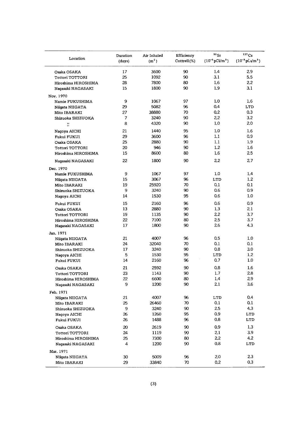| Location            | Duration | Air Inhaled       | Efficiency<br>Cottrell(%) | 90Sr<br>$(10^{-3} \,\text{pCi/m}^3)$ | $137$ Cs<br>$(10^{-3} \,\text{pC1/m}^3)$ |
|---------------------|----------|-------------------|---------------------------|--------------------------------------|------------------------------------------|
|                     | (days)   | (m <sup>2</sup> ) |                           |                                      |                                          |
| Osaka OSAKA         | 17       | 3600              | 90                        | 1.4                                  | 2.9                                      |
| Tottori TOTTORI     | 25       | 1092              | 90                        | 3.1                                  | 5.5                                      |
| Hiroshima HIROSHIMA | 28       | 7800              | 80                        | 1.6                                  | 2.2                                      |
| Nagasaki NAGASAKI   | 15       | 1800              | 90                        | 1.9                                  | 3.1                                      |
| Nov. 1970           |          |                   |                           |                                      |                                          |
| Namie FUKUSHIMA     | 9        | 1067              | 97                        | 1.0                                  | 1.6                                      |
| Niigata NIIGATA     | 29       | 5082              | 96                        | 0.4                                  | <b>LTD</b>                               |
| Mito IBARAKI        | 27       | 38880             | 70                        | 0.2                                  | 0.3                                      |
| Shizuoka SHIZUOKA   | 7        | 3240              | 90                        | 22                                   | 3.2                                      |
| $\ddot{}}$          | 8        | 4320              | 90                        | 1.0                                  | 20                                       |
| Nagoya AICHI        | 21       | 1440              | 95                        | 1.0                                  | 1.6                                      |
| Fukui FUKUI         | 29       | 3600              | 96                        | 1.1                                  | 0.9                                      |
| Osaka OSAKA         | 25       | 2880              | 90                        | 1.1                                  | 1.9                                      |
| Tottori TOTTORI     | 20       | 946               | 90                        | 1.2                                  | 1.6                                      |
| Hiroshima HIROSHIMA | 15       | 8600              | 80                        | 1.6                                  | 2.5                                      |
| Nagasaki NAGASAKI   | 22       | 1800              | 90                        | 22                                   | 2.7                                      |
|                     |          |                   |                           |                                      |                                          |
| Dec. 1970           | 9        | 1067              | 97                        | 1.0                                  | 1.4                                      |
| Namie FUKUSHIMA     | 15       | 3067              | 96                        |                                      | 1.2                                      |
| Niigata NIIGATA     |          | 25920             | 70                        | LTD<br>0,1                           | 0.1                                      |
| Mito IBARAKI        | 19<br>9  | 3240              | 90                        | 0.6                                  | 0.9                                      |
| Shizuoka SHIZUOKA   | 14       | 1530              | 95                        | 0.6                                  | 1.0                                      |
| Nagoya AICHI        |          |                   |                           |                                      |                                          |
| <b>Fukui FUKUI</b>  | 15       | 2160              | 96                        | 0.6                                  | 0.9                                      |
| Osaka OSAKA         | 13       | 2880              | 90                        | 1.3                                  | 2.1                                      |
| Tottori TOTTORI     | 19       | 1135              | 90                        | 22                                   | 3.7                                      |
| Hiroshima HIROSHIMA | 22       | 7100              | 80                        | 2.5                                  | 3,7                                      |
| Nagasaki NAGASAKI   | 17       | 1800              | 90                        | 2.6                                  | 4.3                                      |
| Jan. 1971           |          |                   |                           |                                      |                                          |
| Niigata NIIGATA     | 21       | 4007              | 96                        | 0.5                                  | 1.0                                      |
| Mito IBARAKI        | 24       | 32040             | 70                        | 0.1                                  | 0.1                                      |
| Shizuoka SHIZUOKA   | 17       | 3240              | 90                        | 0.8                                  | 3.0                                      |
| Nagoya AICHI        | 5        | 1530              | 95                        | LTD                                  | 1.2                                      |
| Fukui FUKUI         | 14       | 2160              | 96                        | 0.7                                  | 1.0                                      |
| Osaka OSAKA         | 21       | 2592              | 90                        | 0.8                                  | 1.6                                      |
| Tottori TOTTORI     | 23       | 1143              | 90                        | 1.7                                  | 2.8                                      |
| Hiroshima HIROSHIMA | 22       | 6600              | 80                        | 1.4                                  | 29                                       |
| Nagasaki NAGASAKI   | 9        | 1200              | 90                        | 2.1                                  | 3.6                                      |
| Feb. 1971           |          |                   |                           |                                      |                                          |
| Niigata NIIGATA     | 21       | 4007              | 96                        | LTD                                  | 0.4                                      |
| Mito IBARAKI        | 25       | 26460             | 70                        | 0.1                                  | 0.1                                      |
| Shizuoka SHIZUOKA   | 9        | 3240              | 90                        | 2.5                                  | 4.3                                      |
| Nagoya AICHI        | 26       | 1260              | 95                        | 0.9                                  | LTD                                      |
| Fukui FUKUI         | 26       | 1488              | 96                        | 0.8                                  | LTD                                      |
| Osaka OSAKA         | 20       | 2619              | 90                        | 0.9                                  | 1,3                                      |
| Tottori TOTTORI     | 24       | 1119              | 90                        | 2.1                                  | 3.9                                      |
| Hiroshima HIROSHIMA | 25       | 7300              | 80                        | 2.2                                  | 4.2                                      |
| Nagasaki NAGASAKI   | 4        | 1200              | 90                        | 0.8                                  | LTD                                      |
| Mar. 1971           |          |                   |                           |                                      |                                          |
| Niigata NIIGATA     | 30       | 5009              | 96                        | 20                                   | 23                                       |
| Mito IBARAKI        | 29       | 33840             | 70                        | 0.2                                  | 0,3                                      |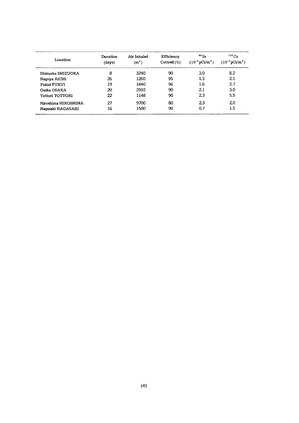| Location            | Duration<br>(days) | Air Inhaled<br>(m <sup>2</sup> ) | Efficiency<br>$\text{Cottrell}(\%)$ | $90$ Sr<br>$(10^{-3} \,\mathrm{pCi/m^3})$ | $137$ Cs<br>$(10^{-3} \,\mathrm{pCi/m^3})$ |
|---------------------|--------------------|----------------------------------|-------------------------------------|-------------------------------------------|--------------------------------------------|
| Shizuoka SHIZUOKA   | 8                  | 3240                             | 90                                  | 3.0                                       | 8.2                                        |
| Nagoya AICHI        | 26                 | 1260                             | 95                                  | 1.3                                       | 21                                         |
| <b>Fukui FUKUI</b>  | 19                 | 1440                             | 96                                  | 1.6                                       | 27                                         |
| Osaka OSAKA         | 20                 | 2592                             | 90                                  | 21                                        | 3.0                                        |
| Tottori TOTTORI     | 22                 | 1148                             | 90                                  | 23                                        | 5.5                                        |
| Hiroshima HIROSHIMA | 27                 | 9700                             | 80                                  | 23                                        | 20                                         |
| Nagasaki NAGASAKI   | 16                 | 1500                             | 90                                  | 0.7                                       | 1.5                                        |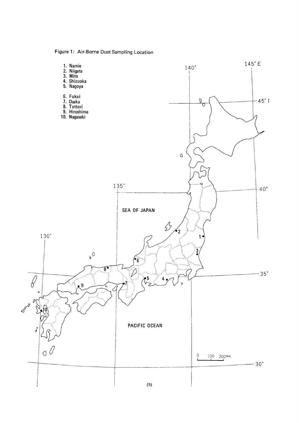Figure 1: Air-Borne Dust Sampling Location

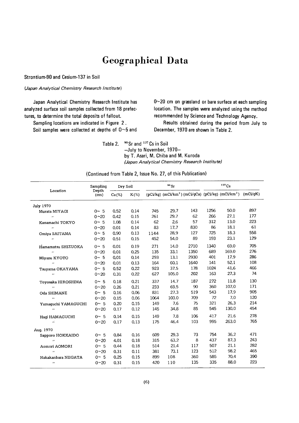## **Geographical Data**

Strontium-90 and Cesium-137 in Soil

(Japan Analytical Chemistry Research Institute)

Japan Analytical Chemistry Research Institute has analyzed surface soil samples collected from 18 prefectures, to determine the total deposits of fallout.

Sampling locations are indicated in Figure 2. Soil samples were collected at depths of  $0$ ~5 and 0~20 cm on grassland or bare surface at each sampling location. The samples were analyzed using the method recommended by Science and Technology Agency.

Results obtained during the period from July to December, 1970 are shown in Table 2.

<sup>90</sup> Sr and <sup>137</sup> Cs in Soil Table 2. -July to November, 1970by T. Asari, M. Chiba and M. Kuroda (Japan Analytical Chemistry Research Institute)

|                          | $^{90}\rm{Sr}$<br>Sampling<br>Dry Soil |          |         |      | $137$ Cs |      |      |                                                                             |          |
|--------------------------|----------------------------------------|----------|---------|------|----------|------|------|-----------------------------------------------------------------------------|----------|
| Location                 | Depth<br>(c <sub>m</sub> )             | $Ca(\%)$ | $K(\%)$ |      |          |      |      | $(pCi/kg)$ (mCi/km <sup>2</sup> ) (mCi/gCa) (pCi/kg) (mCi/km <sup>2</sup> ) | (mCi/qK) |
| <b>July 1970</b>         |                                        |          |         |      |          |      |      |                                                                             |          |
| Murata MIYAGI            | $0 - 5$                                | 0.52     | 0.14    | 745  | 29.7     | 143  | 1256 | 50.0                                                                        | 897      |
| $\bullet$                | $0 - 20$                               | 0.42     | 0.15    | 261  | 29.7     | 62   | 266  | 27.1                                                                        | 177      |
| Kanamachi TOKYO          | $0 - 5$                                | 1.08     | 0.14    | 62   | 2.6      | 57   | 312  | 13.0                                                                        | 223      |
| $\overline{\phantom{a}}$ | $0 - 20$                               | 0.01     | 0.14    | 83   | 17.7     | 830  | 86   | 18.1                                                                        | 61       |
| Omiva SAITAMA            | $0 - 5$                                | 0.90     | 0.13    | 1144 | 28.9     | 127  | 725  | 18.3                                                                        | 558      |
| $\bullet$                | $0 - 20$                               | 0.51     | 0,15    | 452  | 54.0     | 89   | 193  | 23.1                                                                        | 129      |
| Hamamatsu SHIZUOKA       | $0 \sim 5$                             | 0.01     | 0.19    | 271  | 14.0     | 2710 | 1340 | 69.0                                                                        | 705      |
| $\bullet$                | $0 - 20$                               | 0.01     | 0.25    | 135  | 33.1     | 1350 | 689  | 169.0                                                                       | 276      |
| Miyazu KYOTO             | $0 \sim 5$                             | 0.01     | 0.14    | 293  | 13.1     | 2930 | 401  | 17.9                                                                        | 286      |
| $^{\prime}$              | $0 - 20$                               | 0.01     | 0.13    | 164  | 60.1     | 1640 | 141  | 52.1                                                                        | 108      |
| Tsuyama OKAYAMA          | $0 - 5$                                | 0.52     | 0.22    | 923  | 37.5     | 178  | 1024 | 41.6                                                                        | 466      |
| $\bullet$                | $0 - 20$                               | 0.31     | 0.22    | 627  | 105.0    | 202  | 163  | 27.3                                                                        | 74       |
| Toyosaka HIROSHIMA       | $0 \sim 5$                             | 0.18     | 0.21    | 337  | 14.7     | 187  | 272  | 11.8                                                                        | 130      |
| $\ddot{\phantom{0}}$     | $0 - 20$                               | 0.26     | 0.21    | 233  | 69.5     | 90   | 360  | 107.0                                                                       | 171      |
| Oda SHIMANE              | $0 \sim 5$                             | 0.16     | 0.06    | 831  | 27.3     | 519  | 543  | 17.9                                                                        | 905      |
| $\bullet$                | $0 - 20$                               | 0.15     | 0.06    | 1064 | 103.0    | 709  | 72   | 7.0                                                                         | 120      |
| Yamaguchi YAMAGUCHI      | $0 - 5$                                | 0.20     | 0.15    | 149  | 7.6      | 75   | 321  | 26.3                                                                        | 214      |
| $\ddot{\phantom{0}}$     | $0 - 20$                               | 0.17     | 0.12    | 145  | 34.8     | 85   | 545  | 130.0                                                                       | 454      |
| Hagi HAMAGUCHI           | $0 - 5$                                | 0.14     | 0.15    | 149  | 7.8      | 106  | 417  | 21.6                                                                        | 278      |
| ñ                        | $0 - 20$                               | 0.17     | 0.13    | 175  | 46.4     | 103  | 995  | 263.0                                                                       | 765      |
| Aug. 1970                |                                        |          |         |      |          |      |      |                                                                             |          |
| Sapporo HOKKAIDO         | $0 \sim 5$                             | 0.84     | 0.16    | 609  | 29.3     | 73   | 754  | 36.2                                                                        | 471      |
| $\bullet$                | $0 - 20$                               | 4.01     | 0.18    | 315  | 63.2     | 8    | 437  | 87.3                                                                        | 243      |
| Aomori AOMORI            | $0 \sim 5$                             | 0.44     | 0.18    | 514  | 21.4     | 117  | 507  | 21.1                                                                        | 282      |
| $\bullet$                | $0 - 20$                               | 0.31     | 0.11    | 381  | 73.1     | 123  | 512  | 98.2                                                                        | 465      |
| Nakakanbara NIIGATA      | $0 \sim 5$                             | 0.25     | 0.15    | 899  | 108      | 360  | 585  | 70.4                                                                        | 390      |
| $\pmb{\cdots}$           | $0 - 20$                               | 0.31     | 0.15    | 420  | 110      | 135  | 335  | 88.0                                                                        | 223      |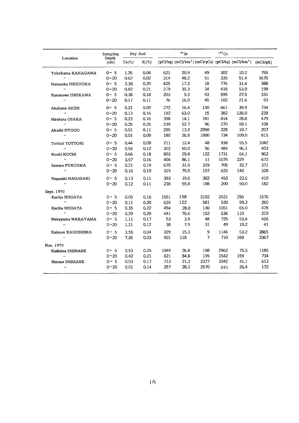|                      | Sampling      |          | Dry Soil |      | $90$ Sr |                | $137$ Cs |                                                                             |          |
|----------------------|---------------|----------|----------|------|---------|----------------|----------|-----------------------------------------------------------------------------|----------|
| Location             | Depth<br>(cm) | $Ca(\%)$ | $K(\%)$  |      |         |                |          | $(pCi/kg)$ (mCi/km <sup>2</sup> ) (mCi/gCa) (pCi/kg) (mCi/km <sup>2</sup> ) | (mCi/qK) |
| Yokohama KANAGAWA    | $0 - 5$       | 1.26     | 0.04     | 621  | 20.9    | 49             | 302      | 10.2                                                                        | 755      |
| $\ddot{\phantom{a}}$ | $0 - 20$      | 0.62     | 0.02     | 314  | 48.2    | 51             | 335      | 51.4                                                                        | 1675     |
| Hamaoka SHIZUOKA     | 0~5           | 2.38     | 0.20     | 425  | 17.3    | 18             | 776      | 31.4                                                                        | 388      |
| $\ddot{\phantom{0}}$ | $0 - 20$      | 0.82     | 0.21     | 279  | 35.3    | 34             | 418      | 53.0                                                                        | 199      |
| Kanazawa ISHIKAWA    | $0 - 5$       | 0.38     | 0.18     | 203  | 9.3     | 53             | 595      | 27.5                                                                        | 331      |
| $\bullet$            | $0 - 20$      | 0.17     | 0.11     | 76   | 16.0    | 45             | 102      | 21.6                                                                        | 93       |
| Akabane AICHI        | $0~\sim~5$    | 0.21     | 0.09     | 272  | 16.4    | 130            | 661      | 39.9                                                                        | 734      |
| $\pmb{\cdots}$       | $0 - 20$      | 0.13     | 0.16     | 192  | 63.0    | 15             | 382      | 126.0                                                                       | 239      |
| Hirakata OSAKA       | $0 \sim 5$    | 0.22     | 0.16     | 398  | 14.1    | 181            | 814      | 28.8                                                                        | 479      |
| $\ddot{\phantom{a}}$ | $0 - 20$      | 0.25     | 0.25     | 239  | 52.7    | 96             | 270      | 59.1                                                                        | 108      |
| Akashi HYOGO         | $0 - 5$       | 0.01     | 0.11     | 295  | 13.9    | 2950           | 228      | 10.7                                                                        | 207      |
| $\ddot{\phantom{a}}$ | $0 - 20$      | 0.01     | 0.09     | 180  | 26.8    | 1800           | 734      | 109.0                                                                       | 815      |
| Tottori TOTTORI      | $0 \sim 5$    | 0.44     | 0.09     | 211  | 12.4    | 48             | 938      | 55.5                                                                        | 1042     |
| ò.                   | $0 - 20$      | 0.54     | 0.12     | 302  | 60.0    | 56             | 484      | 96.3                                                                        | 403      |
| Kochi KOCHI          | 0~5           | 0.66     | 0.18     | 803  | 29.8    | 122            | 1731     | 64.1                                                                        | 962      |
| $\bullet$            | $0 - 20$      | 3.57     | 0.16     | 404  | 86.1    | 11             | 1075     | 229                                                                         | 672      |
| Sawara FUKUOKA       | $0 \sim 5$    | 0.21     | 0.19     | 670  | 31.0    | 319            | 705      | 32.7                                                                        | 371      |
| $\pmb{\cdot}$        | $0 - 20$      | 0.16     | 0.19     | 315  | 70.5    | 197            | 623      | 140                                                                         | 328      |
| Naqasaki NAGASAKI    | $0 - 5$       | 0.13     | 0.11     | 393  | 19.6    | 302            | 452      | 22.6                                                                        | 410      |
| $\bullet$            | $0 - 20$      | 0.12     | 0.11     | 238  | 59.8    | 198            | 200      | 50.0                                                                        | 182      |
| Sept. 1970           |               |          |          |      |         |                |          |                                                                             |          |
| Kariba NIIGATA       | $0~\sim~5$    | 0.05     | 0.16     | 1551 | 158     | 3102           | 2521     | 256                                                                         | 1576     |
| $\cdot$              | $0 - 20$      | 0.11     | 0.20     | 639  | 122     | 581            | 520      | 99.3                                                                        | 260      |
| Kariba NIIGATA       | $0~\sim~5$    | 0.35     | 0.22     | 454  | 28.0    | 130            | 1051     | 65.0                                                                        | 478      |
| $\ddot{\phantom{a}}$ | $0 - 20$      | 0.29     | 0.29     | 441  | 76.6    | 152            | 636      | 110                                                                         | 219      |
| Wakayama WAKAYAMA    | $0~\sim~5$    | 1.11     | 0.17     | 53   | 3.9     | 48             | 725      | 53.4                                                                        | 426      |
| $\ddot{\phantom{a}}$ | $0 - 20$      | 1.21     | 0.12     | 38   | 7.9     | 31             | 49       | 10.2                                                                        | 41       |
| Kaimon KAGOSHIMA     | $0~\sim~5$    | 3.55     | 0.04     | 329  | 15.3    | 9              | 1146     | 53.2                                                                        | 2865     |
| $\ddot{\phantom{a}}$ | $0 - 20$      | 7.26     | 0.03     | 501  | 118     | $\overline{7}$ | 710      | 168                                                                         | 2367     |
| Nov. 1970            |               |          |          |      |         |                |          |                                                                             |          |
| Kashima SHIMANE      | $0~\sim~5$    | 0.53     | 0.25     | 1049 | 26.8    | 198            | 2962     | 75.5                                                                        | 1185     |
| $\ddot{\phantom{a}}$ | $0^{\sim}20$  | 0.42     | 0.21     | 821  | 84.8    | 195            | 1542     | 159                                                                         | 734      |
| Matsue SHIMANE       | $0~\sim~5$    | 0.03     | 0.17     | 713  | 21.3    | 2377           | 1042     | 31.1                                                                        | 613      |
| $\pmb{\cdot}$        | $0 - 20$      | 0.01     | 0.14     | 257  | 28.1    | 2570           | 241      | 26.4                                                                        | 172      |
|                      |               |          |          |      |         |                |          |                                                                             |          |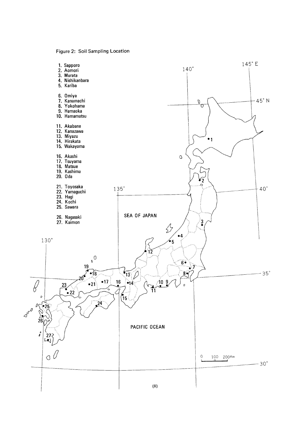Figure 2: Soil Sampling Location

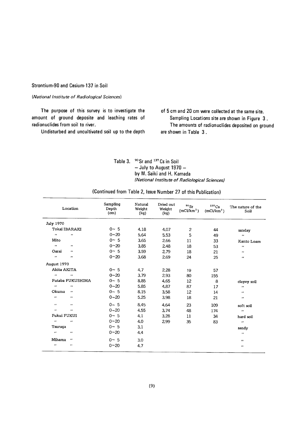#### Strontium-90 and Cesium-137 in Soil

#### (National Institute of Radiological Sciences)

The purpose of this survey is to investigate the amount of ground deposite and leaching rates of radionuclides from soil to river.

Undisturbed and uncultivated soil up to the depth

of 5 cm and 20 cm were collected at the same site. Sampling Locations site are shown in Figure 3. The amounts of radionuclides deposited on ground are shown in Table 3.

Table 3. <sup>90</sup> Sr and <sup>137</sup> Cs in Soil  $-$  July to August 1970  $$ by M. Saiki and H. Kamada (National Institute of Radiological Sciences)

|  |  |  |  |  |  |  |  |  | (Continued from Table 2, Issue Number 27 of this Publication) |  |
|--|--|--|--|--|--|--|--|--|---------------------------------------------------------------|--|
|--|--|--|--|--|--|--|--|--|---------------------------------------------------------------|--|

| Location                          | Sampling<br>Depth<br>(cm) | Natural<br>Weight<br>(kq) | Dried out<br>Weight<br>(kg) | $\rm{^{90}Sr}$<br>(mCi/km <sup>2</sup> ) | $137$ Cs<br>(mCi/km <sup>2</sup> ) | The nature of the<br>Soil |
|-----------------------------------|---------------------------|---------------------------|-----------------------------|------------------------------------------|------------------------------------|---------------------------|
| <b>July 1970</b>                  |                           |                           |                             |                                          |                                    |                           |
| Tokai IBARAKI                     | $0 \sim 5$                | 4.18                      | 4.07                        | $\overline{2}$                           | 44                                 | sanday                    |
| $\bullet$<br>$\mathbf{r}$         | $0 - 20$                  | 5.64                      | 5.53                        | 5                                        | 49                                 | $\mathbf{r}$              |
| Mito                              | $0 - 5$                   | 3.65                      | 2.66                        | 11                                       | 33                                 | Kanto Loam                |
| $\boldsymbol{\cdot}$<br>          | $0^{\sim}20$              | 3.85                      | 248                         | 18                                       | 53                                 | $\cdot$                   |
| Oarai<br>$\cdots$                 | $0~\sim~5$                | 3.59                      | 2.79                        | 18                                       | 21                                 | $\bullet$                 |
| $\cdot$<br>$\bullet$              | $0 - 20$                  | 3.68                      | 2.69                        | 24                                       | 25                                 | $\bullet$                 |
| August 1970                       |                           |                           |                             |                                          |                                    |                           |
| Akita AKITA                       | $0 \sim 5$                | 4.7                       | 2.28                        | 19                                       | 57                                 |                           |
| $\boldsymbol{\cdot}$<br>$\cdot$   | $0 - 20$                  | 3.79                      | 2.93                        | 80                                       | 155                                |                           |
| Futaba FUKUSHIMA                  | $0 - 5$                   | 8.85                      | 4.65                        | 12                                       | 8                                  | clayey soil               |
| $\bullet \bullet$<br>$\cdots$     | $0 - 20$                  | 5.85                      | 4.87                        | 87                                       | 17                                 | $\pmb{\cdots}$            |
| Okuma<br>$\cdots$                 | $0 \sim 5$                | 8.15                      | 3.58                        | 12                                       | 14                                 | $\cdots$                  |
| $\bullet\bullet$<br>$\bullet$     | $0 - 20$                  | 5.25                      | 3.98                        | 18                                       | 21                                 | $\cdots$                  |
| $\cdot\cdot$<br>$\cdot$           | $0 \sim 5$                | 8.45                      | 4.64                        | 23                                       | 109                                | soft soil                 |
| $\bullet$<br>$\cdot$              | $0 - 20$                  | 4.55                      | 3.74                        | 48                                       | 174                                | $\bullet$                 |
| Fukui FUKUI                       | $0 \sim 5$                | 4.1                       | 3.28                        | 11                                       | 34                                 | hard soil                 |
| $\boldsymbol{\cdot}$<br>$\bullet$ | $0 - 20$                  | 4.0                       | 299                         | 35                                       | 83                                 | $\bullet$                 |
| Tsuruqa                           | $0 \sim 5$                | 3.1                       |                             |                                          |                                    | sandv                     |
| $\cdot$<br>$\bullet$              | $0 - 20$                  | 4.4                       |                             |                                          |                                    | $\bullet$                 |
| Mihama<br>$\qquad \qquad \bullet$ | $0 \sim 5$                | 3.0                       |                             |                                          |                                    | $\bullet$                 |
| $\bullet$<br>$\pmb{\cdot}$        | $0 - 20$                  | 4.7                       |                             |                                          |                                    | $\bullet\bullet$          |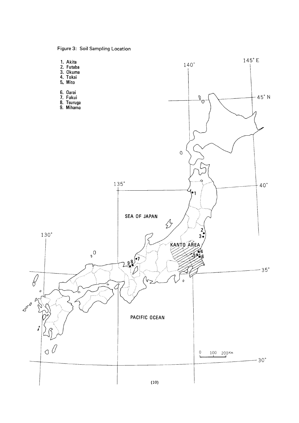Figure 3: Soil Sampling Location

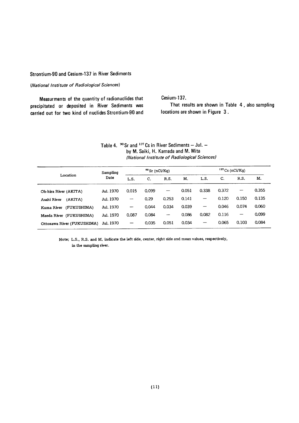#### Strontium-90 and Cesium-137 in River Sediments

#### (National Institute of Radiological Sciences)

Measurments of the quantity of radionuclides that precipitated or deposited in River Sediments was carried out for two kind of nuclides Strontium-90 and Cesium-137.

That results are shown in Table 4, also sampling locations are shown in Figure 3.

| Table 4. $\frac{90}{25}$ Sr and <sup>137</sup> Cs in River Sediments – Jul. – |
|-------------------------------------------------------------------------------|
| by M. Saiki, H. Kamada and M. Mita                                            |
| (National Institute of Radiological Sciences)                                 |

|                            | $90$ Sr (nCi/Kg)<br>Sampling |                          |       |                          |       | $137$ Cs (nCi/Kg) |       |                          |       |  |
|----------------------------|------------------------------|--------------------------|-------|--------------------------|-------|-------------------|-------|--------------------------|-------|--|
| Location                   | Date                         | L.S.                     | c.    | R.S.                     | Μ.    | L.S.              | C.    | R.S.                     | M.    |  |
| Oh-hira River (AKITA)      | Jul. 1970                    | 0.015                    | 0.099 | $\overline{\phantom{a}}$ | 0.051 | 0.338             | 0.372 | $\hspace{0.05cm}$        | 0.355 |  |
| (AKITA)<br>Asahi River     | Jul. 1970                    | $\overline{\phantom{0}}$ | 0.29  | 0.253                    | 0.141 | —                 | 0.120 | 0.150                    | 0.135 |  |
| (FUKUSHIMA)<br>Kuma River  | Jul. 1970                    | $\overline{\phantom{0}}$ | 0.044 | 0.034                    | 0.039 | —                 | 0.046 | 0.074                    | 0.060 |  |
| Maeda River (FUKUSHIMA)    | Jul. 1970                    | 0.087                    | 0.084 | --                       | 0.086 | 0.082             | 0.116 | $\overline{\phantom{m}}$ | 0.099 |  |
| Ottozawa River (FUKUSHIMA) | Jul. 1970                    | $\qquad \qquad \qquad$   | 0.035 | 0.051                    | 0.034 |                   | 0.065 | 0.103                    | 0.084 |  |

Note; L.S., R.S. and M. indicate the left side, center, right side and mean values, respectively, in the sampling river.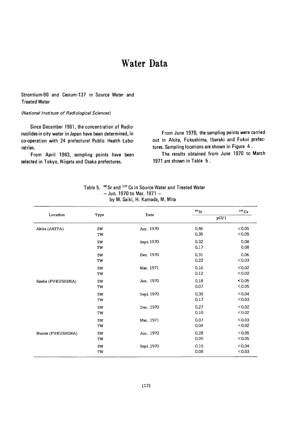## Water Data

#### Strontium-90 and Cesium-137 in Source Water and **Treated Water**

#### (National Institute of Radiological Sciences)

Since December 1961, the concentration of Radionuclides in city water in Japan have been determined, in co-operation with 24 prefectural Public Health Laboratries.

From April 1963, sampling points have been selected in Tokyo, Niigata and Osaka prefectures.

From June 1970, the sampling points were carried out in Akita, Fukushima, Ibaraki and Fukui prefectures. Sampling locations are shown in Figure 4.

The results obtained from June 1970 to March 1971 are shown in Table 5.

|                    |          |            | 90Sr         | $137$ Cs         |
|--------------------|----------|------------|--------------|------------------|
| Location           | Type     | Date       |              | pCi/1            |
| Akita (AKITA)      | SW<br>TW | Jun. 1970  | 0.46<br>0.35 | < 0.05<br>< 0.05 |
|                    | SW<br>TW | Sept. 1970 | 0.32<br>0.17 | 0.08<br>0.08     |
|                    | SW<br>TW | Dec. 1970  | 0.31<br>0.22 | 0.06<br>< 0.03   |
|                    | SW<br>TW | Mar. 1971  | 0.16<br>0.12 | < 0.02<br>< 0.02 |
| Iizaka (FUKUSHIMA) | SW<br>TW | Jun. 1970  | 0.18<br>0.07 | < 0.05<br>< 0.05 |
|                    | SW<br>TW | Sept. 1970 | 0.30<br>0.17 | < 0.04<br>< 0.03 |
|                    | SW<br>TW | Dec. 1970  | 0.27<br>0.10 | < 0.02<br>< 0.02 |
|                    | SW<br>TW | Mar. 1971  | 0.07<br>0.04 | < 0.03<br>< 0.02 |
| Namie (FUKUSHIMA)  | SW<br>TW | Jun. 1970  | 0.28<br>0.05 | < 0.05<br>< 0.05 |
|                    | SW<br>TW | Sept. 1970 | 0.10<br>0.08 | <0.04<br>&0.03   |

| Table 5. $~^{90}\mathrm{Sr}$ and $^{137}\mathrm{Cs}$ in Source Water and Treated Water |
|----------------------------------------------------------------------------------------|
| $-$ Jun. 1970 to Mar. 1971 $-$                                                         |
| by M. Saiki, H. Kamada, M. Mita                                                        |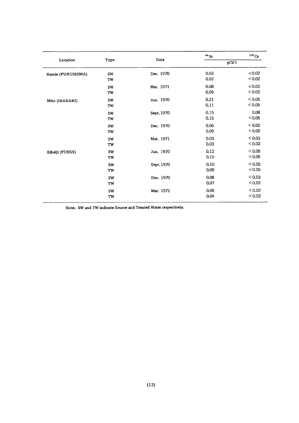| Location          |                 |            | $90$ Sr      | $137$ Cs         |
|-------------------|-----------------|------------|--------------|------------------|
|                   | Type            | Date       |              | pCi/1            |
| Namie (FUKUSHIMA) | SW<br>TW        | Dec. 1970  | 0.03<br>0.02 | < 0.02<br>< 0.02 |
|                   | SW<br>TW        | Mar. 1971  | 0.08<br>0.05 | < 0.02<br>< 0.02 |
| Mito (IBARAKI)    | SW<br><b>TW</b> | Jun. 1970  | 0.21<br>0.11 | < 0.05<br>< 0.05 |
|                   | SW<br>TW        | Sept. 1970 | 0.15<br>0.15 | 0.08<br>< 0.05   |
|                   | SW<br>TW        | Dec. 1970  | 0.06<br>0.05 | < 0.02<br>< 0.02 |
|                   | SW<br>TW        | Mar. 1971  | 0.03<br>0.03 | < 0.03<br>< 0.02 |
| Eiheiji (FUKUI)   | SW<br>TW        | Jun. 1970  | 0.12<br>0.10 | < 0.05<br>< 0.05 |
|                   | SW<br>TW        | Sept. 1970 | 0.10<br>0.09 | < 0.05<br>< 0.05 |
|                   | SW<br>TW        | Dec. 1970  | 0.08<br>0.07 | < 0.03<br>< 0.02 |
|                   | SW<br>TW        | Mar. 1971  | 0.05<br>0.04 | < 0.02<br>< 0.02 |

Note; SW and TW indicate Source and Treated Water respectively.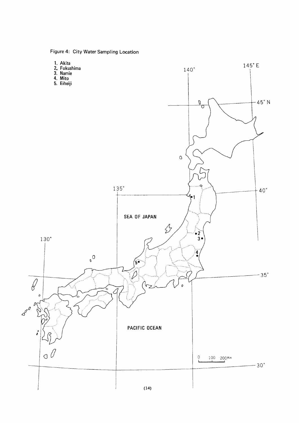Figure 4: City Water Sampling Location

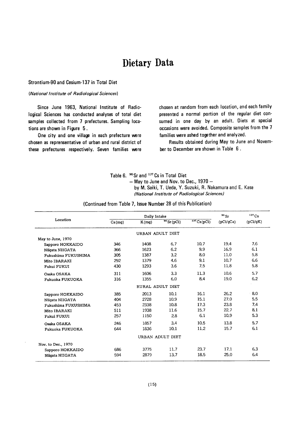### Dietary Data

#### Strontium-90 and Cesium-137 in Total Diet

#### (National Institute of Radiological Sciences)

Since June 1963, National Institute of Radiological Sciences has conducted analyses of total diet samples collected from 7 prefectures. Sampling locations are shown in Figure 5.

One city and one village in each prefecture were chosen as reprensentative of urban and rural district of these prefectures respectively. Seven families were chosen at random from each location, and each family presented a normal portion of the regular diet consumed in one day by an adult. Diets at special occasions were avoided. Composite samples from the 7 families were ashed together and analyzed.

Results obtained during May to June and November to December are shown in Table 6.

|  | Table 6. <sup>90</sup> Sr and <sup>137</sup> Cs in Total Diet |  |  |  |  |
|--|---------------------------------------------------------------|--|--|--|--|
|--|---------------------------------------------------------------|--|--|--|--|

 $-$  May to June and Nov. to Dec., 1970  $-$ 

by M. Saiki, T. Ueda, Y. Suzuki, R. Nakamura and E. Kase (National Institute of Radiological Sciences)

|                     |        | Daily Intake |                  |            | $^{90}\rm{Sr}$ | 137Cs    |
|---------------------|--------|--------------|------------------|------------|----------------|----------|
| Location            | Ca(mg) | K(mg)        | $90$ Sr (pCi)    | 137Cs(pCi) | pCi/qCa        | (pCi/gK) |
|                     |        |              | URBAN ADULT DIET |            |                |          |
| May to June, 1970   |        |              |                  |            |                |          |
| Sapporo HOKKAIDO    | 346    | 1408         | 6.7              | 10.7       | 19.4           | 7.6      |
| Niigata NIIGATA     | 366    | 1623         | 6.2              | 9.9        | 16.9           | 6.1      |
| Fukushima FUKUSHIMA | 305    | 1387         | 3.2              | 8.0        | 11.0           | 5.8      |
| Mito IBARAKI        | 292    | 1379         | 4.6              | 9.1        | 10.7           | 6.6      |
| Fukui FUKUI         | 430    | 1293         | 3.6              | 7.5        | 11.8           | 5.8      |
| Osaka OSAKA         | 311    | 1606         | 3.3              | 11.3       | 10.6           | 5.7      |
| Fukuoka FUKUOKA     | 316    | 1355         | 6.0              | 8.4        | 19.0           | 6.2      |
|                     |        |              | RURAL ADULT DIET |            |                |          |
| Sapporo HOKKAIDO    | 385    | 2013         | 10.1             | 16.1       | 26.2           | 8.0      |
| Niigata NIIGATA     | 404    | 2728         | 10.9             | 15.1       | 27.0           | 5.5      |
| Fukushima FUKUSHIMA | 453    | 2338         | 10.8             | 17.3       | 23.8           | 7.4      |
| Mito IBARAKI        | 511    | 1938         | 11.6             | 15.7       | 22.7           | 8.1      |
| Fukui FUKUI         | 257    | 1150         | 28               | 6.1        | 10.9           | 5.3      |
| Osaka OSAKA         | 246    | 1857         | 3.4              | 10.5       | 13.8           | 5.7      |
| Fukuoka FUKUOKA     | 644    | 1836         | 10.1             | 11.2       | 15.7           | 6.1      |
|                     |        |              | URBAN ADULT DIET |            |                |          |
| Nov. to Dec., 1970  |        |              |                  |            |                |          |
| Sapporo HOKKAIDO    | 686    | 3775         | 11.7             | 23.7       | 17.1           | 6.3      |
| Niigata NIIGATA     | 594    | 2879         | 13.7             | 18.5       | 25.0           | 6.4      |

#### (Continued from Table 7, Issue Number 28 of this Publication)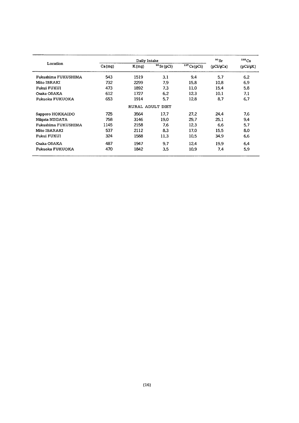|                     |        | $90$ Sr | 137Cs            |                |           |          |
|---------------------|--------|---------|------------------|----------------|-----------|----------|
| Location            | Ca(mq) | K(mq)   | $90$ Sr (pCi)    | $137$ Cs (pCi) | (pCi/qCa) | (pCi/qK) |
| Fukushima FUKUSHIMA | 543    | 1519    | 3.1              | 9.4            | 5.7       | 6.2      |
| Mito IBRAKI         | 732    | 2299    | 7.9              | 15.8           | 10.8      | 6.9      |
| Fukui FUKUI         | 473    | 1892    | 7.3              | 11.0           | 15.4      | 5.8      |
| Osaka OSAKA         | 612    | 1727    | 6.2              | 12.3           | 10.1      | 7.1      |
| Fukuoka FUKUOKA     | 653    | 1914    | 5.7              | 12.8           | 8.7       | 6.7      |
|                     |        |         | RURAL ADULT DIET |                |           |          |
| Sapporo HOKKAIDO    | 725    | 3564    | 17.7             | 27.2           | 24.4      | 7.6      |
| Niigata NIIGATA     | 758    | 3146    | 19.0             | 29.7           | 25.1      | 9.4      |
| Fukushima FUKUSHIMA | 1145   | 2158    | 7.6              | 12.3           | 6.6       | 5.7      |
| Mito IBARAKI        | 537    | 2112    | 8.3              | 17.0           | 15.5      | 8.0      |
| Fukui FUKUI         | 324    | 1588    | 11.3             | 10.5           | 34.9      | 6.6      |
| Osaka OSAKA         | 487    | 1947    | 9.7              | 12.4           | 19.9      | 6.4      |
| Fukuoka FUKUOKA     | 470    | 1842    | 3.5              | 10.9           | 7.4       | 5.9      |
|                     |        |         |                  |                |           |          |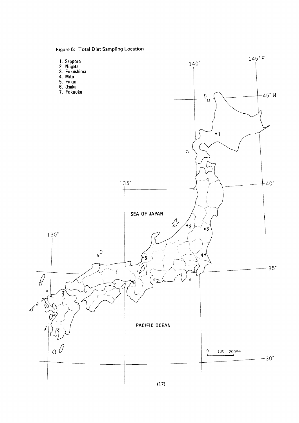Figure 5: Total Diet Sampling Location

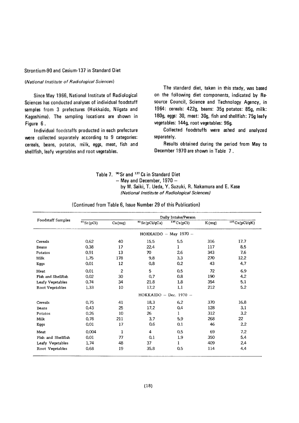#### Strontium-90 and Cesium-137 in Standard Diet

#### (National Institute of Radiological Sciences)

Since May 1966, National Institute of Radiological Sciences has conducted analyses of individual foodstuff samples from 3 prefectures (Hokkaido, Niigata and Kagoshima). The sampling locations are shown in Figure 6.

Individual foodstaffs producted in each prefecture were collected separately according to 9 categories: cereals, beans, potatos, milk, eggs, meat, fish and shellfish, leafy vegetables and root vegetables.

The standard diet, taken in this stady, was based on the following diet components, indicated by Resource Council, Science and Technology Agency, in 1964: cereals: 422g, beans: 35g potatos: 85g, milk: 180g, eggs: 30, meat: 30g, fish and shellfish: 75g leafy vegetables: 144g, root vegetables: 96g.

Collected foodstuffs were ashed and analyzed separately.

Results obtained during the period from May to December 1970 are shown in Table 7.

| Table 7. <sup>90</sup> Sr and <sup>137</sup> Cs in Standard Diet |
|------------------------------------------------------------------|
| $-$ May and December, 1970 $-$                                   |
| by M. Saiki, T. Ueda, Y. Suzuki, R. Nakamura and E. Kase         |
| (National Institute of Radiological Sciences)                    |

|                    |               | Daily Intake/Person |                          |                       |       |                  |  |  |  |
|--------------------|---------------|---------------------|--------------------------|-----------------------|-------|------------------|--|--|--|
| Foodstaff Samples  | $90$ Sr (pCi) | Ca(mg)              | $^{90}$ Sr (pCi/gCa)     | $137 \text{Cs}$ (pCi) | K(mq) | $137$ Cs(pCi/gK) |  |  |  |
|                    |               |                     |                          | HOKKAIDO - May 1970 - |       |                  |  |  |  |
| Cereals            | 0.62          | 40                  | 15.5                     | 5.5                   | 316   | 17.7             |  |  |  |
| Beans              | 0.38          | 17                  | 22.4                     | 1                     | 117   | 8.5              |  |  |  |
| Potatos            | 0.91          | 13                  | 70                       | 2.6                   | 343   | 76               |  |  |  |
| Milk               | 1.75          | 178                 | 9.8                      | 3.3                   | 270   | 12.2             |  |  |  |
| Eqgs               | 0.01          | 12                  | 0.8                      | 0.2                   | 43    | 4.7              |  |  |  |
| Meat               | 0.01          | $\overline{c}$      | 5                        | 0.5                   | 72    | 6.9              |  |  |  |
| Fish and Shellfish | 0.02          | 30                  | 0.7                      | 0.8                   | 190   | 4.2              |  |  |  |
| Leafy Vegetables   | 0,74          | 34                  | 21.8                     | 1.8                   | 354   | 5.1              |  |  |  |
| Root Vegetables    | 1.33          | 10                  | 17.2                     | 1.1                   | 212   | 5.2              |  |  |  |
|                    |               |                     | $HOKKAIDO - Dec. 1970 -$ |                       |       |                  |  |  |  |
| Cereals            | 0.75          | 41                  | 18.3                     | 6.2                   | 370   | 16.8             |  |  |  |
| <b>Beans</b>       | 0.43          | 25                  | 17.2                     | 0.4                   | 128   | 3.1              |  |  |  |
| Potatos            | 0.26          | 10                  | 26                       | 1                     | 312   | 3.2              |  |  |  |
| Milk               | 0.78          | 211                 | 3.7                      | 5.9                   | 268   | 22               |  |  |  |
| Eggs               | 0.01          | 17                  | 0.6                      | 0.1                   | 46    | 2.2              |  |  |  |
| Meat               | 0.004         | $\mathbf{1}$        | 4                        | 0,5                   | 69    | 7.2              |  |  |  |
| Fish and Shellfish | 0.01          | 77                  | 0.1                      | 1.9                   | 350   | 5.4              |  |  |  |
| Leafy Vegetables   | 1.74          | 48                  | 37                       | 1                     | 409   | 2.4              |  |  |  |
| Root Vegetables    | 0.68          | 19                  | 35.8                     | 0.5                   | 114   | 4,4              |  |  |  |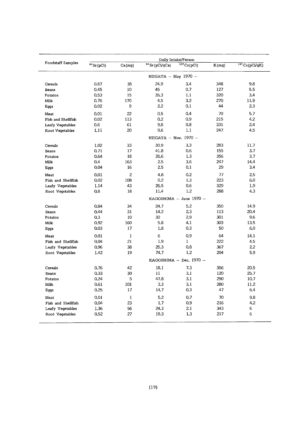|                    | Daily Intake/Person      |                |                             |                         |       |               |  |  |
|--------------------|--------------------------|----------------|-----------------------------|-------------------------|-------|---------------|--|--|
| Foodstaff Samples  | $90$ Sr (pCi)            | Ca(mg)         | $\frac{1}{90}$ Sr (pCi/gCa) | 137Cs(pCi)              | K(mg) | 137Cs(pCi/gK) |  |  |
|                    | NIIGATA $-$ May 1970 $-$ |                |                             |                         |       |               |  |  |
| Cereals            | 0.87                     | 35             | 24.9                        | 3.4                     | 348.  | 9.8           |  |  |
| Beans              | 0.45                     | 10             | 45                          | 0.7                     | 127   | 5.5           |  |  |
| Potatos            | 0.53                     | 15             | 35.3                        | 1.1                     | 320   | 3.4           |  |  |
| Milk               | 0.76                     | 170            | 4.5                         | 3.2                     | 270   | 11.9          |  |  |
| Eggs               | 0.02                     | 9              | 2,2                         | 0,1                     | 44    | 2,3           |  |  |
| Meat               | 0.01                     | 22             | 0.5                         | 0.4                     | 70    | 5.7           |  |  |
| Fish and Shellfish | 0.02                     | 113            | 0.2                         | 0.9                     | 215   | 4.2           |  |  |
| Leafy Vegetables   | 0.6                      | 61             | 9.8                         | 0.8                     | 331   | 2.4           |  |  |
| Root Vegetables    | 1,11                     | 20             | 9.6                         | 1.1                     | 247   | 4.5           |  |  |
|                    |                          |                | NIIGATA $-$ Nov. 1970 $-$   |                         |       |               |  |  |
| Cereals            | 1.02                     | 33             | 30.9                        | 3.3                     | 283   | 11.7          |  |  |
| <b>Beans</b>       | 0.71                     | 17             | 41.8                        | 0.6                     | 155   | 3,7           |  |  |
| Potatos            | 0.64                     | 18             | 35.6                        | 1.3                     | 356   | 3.7           |  |  |
| Milk               | 0.4                      | 163            | 2.5                         | 3.6                     | 247   | 14.4          |  |  |
| Eggs               | 0.04                     | 16             | 2.5                         | 0.1                     | 29    | 3.4           |  |  |
| Meat               | 0.01                     | $\overline{c}$ | 4.8                         | 0.2                     | 77    | 2.5           |  |  |
| Fish and Shellfish | 0.02                     | 108            | 0.2                         | 1,3                     | 223   | 6.0           |  |  |
| Leafy Vegetables   | 1.14                     | 43             | 26.5                        | 0.6                     | 329   | 1.9           |  |  |
| Root Vegetables    | 0.8                      | 18             | 11.4                        | 1.2                     | 288   | 4.3           |  |  |
|                    | KAGOSHIMA - June 1970 -  |                |                             |                         |       |               |  |  |
| Cereals            | 0.84                     | 34             | 24.7                        | 5.2                     | 350   | 14.9          |  |  |
| Beans              | 0.44                     | 31             | 14.2                        | 2,3                     | 113   | 20.4          |  |  |
| Potatos            | 0.3                      | 10             | 30                          | 2.9                     | 301   | 9.6           |  |  |
| Milk               | 0.92                     | 160            | 5.8                         | 4.1                     | 303   | 13.5          |  |  |
| Eggs               | 0.03                     | 17             | 1.8                         | 0.3                     | 50    | 6.0           |  |  |
| Meat               | 0.01                     | 1              | 6                           | 0.9                     | 64    | 14.1          |  |  |
| Fish and Shellfish | 0.04                     | 21             | 1.9                         | $\mathbf{1}$            | 222   | 4.5           |  |  |
| Leafy Vegetables   | 0.96                     | 38             | 25.3                        | 0.8                     | 367   | 2,2           |  |  |
| Root Vegetables    | 1.42                     | 19             | 74.7                        | 1.2                     | 204   | 5.9           |  |  |
|                    |                          |                |                             | KAGOSHIMA - Dec. 1970 - |       |               |  |  |
| Cereals            | 0.76                     | 42             | 18.1                        | 7.3                     | 356   | 20.5          |  |  |
| Beans              | 0.33                     | 30             | 11                          | 3.1                     | 120   | 25.7          |  |  |
| Potatos            | 0.24                     | 5              | 47.8                        | 3,1                     | 290   | 10.7          |  |  |
| Milk               | 0.61                     | 101            | 3,3                         | 3.1                     | 280   | 11.2          |  |  |
| Eggs               | 0.25                     | $17\,$         | 14.7                        | 0.3                     | 47    | 6.4           |  |  |
| Meat               | 0.01                     | $\mathbf{1}$   | 5.2                         | 0.7                     | 70    | 9.8           |  |  |
| Fish and Shellfish | 0.04                     | 23             | 1.7                         | 0.9                     | 216   | 4.2           |  |  |
| Leafy Vegetables   | 1.36                     | 56             | 24.3                        | 2.1                     | 343   | 6             |  |  |
| Root Vegetables    | 0.52                     | 27             | 19.3                        | 1,3                     | 217   | 6             |  |  |